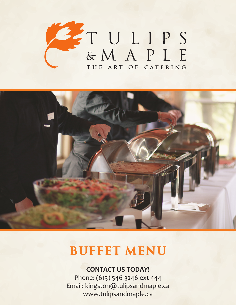



# **BUFFET MENU**

## **CONTACT US TODAY!**

Phone: (613) 546-3246 ext 444 Email: kingston@tulipsandmaple.ca www.tulipsandmaple.ca